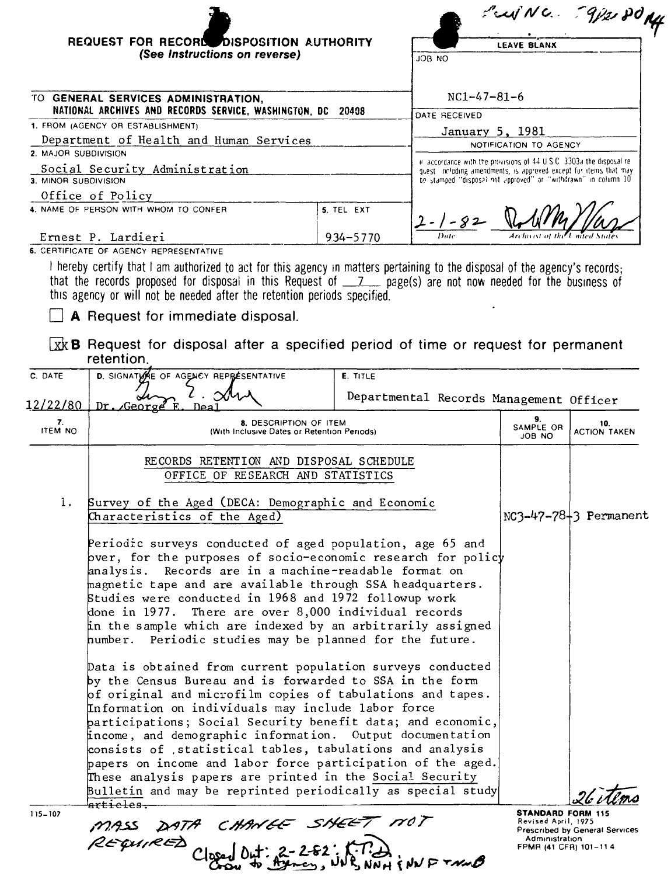|                      |                                                                                                                                                                                                                                                                                                                                                                                                                                                                                                                                                                                                                                                                                                                                                                                                                                                                                                                                                                                                                                                                                                                                                                         |            |                                                                                                                                     |                                                 | FujNC. 9/2 POM                        |
|----------------------|-------------------------------------------------------------------------------------------------------------------------------------------------------------------------------------------------------------------------------------------------------------------------------------------------------------------------------------------------------------------------------------------------------------------------------------------------------------------------------------------------------------------------------------------------------------------------------------------------------------------------------------------------------------------------------------------------------------------------------------------------------------------------------------------------------------------------------------------------------------------------------------------------------------------------------------------------------------------------------------------------------------------------------------------------------------------------------------------------------------------------------------------------------------------------|------------|-------------------------------------------------------------------------------------------------------------------------------------|-------------------------------------------------|---------------------------------------|
|                      | REQUEST FOR RECORD DISPOSITION AUTHORITY                                                                                                                                                                                                                                                                                                                                                                                                                                                                                                                                                                                                                                                                                                                                                                                                                                                                                                                                                                                                                                                                                                                                |            |                                                                                                                                     | <b>LEAVE BLANX</b>                              |                                       |
|                      | (See Instructions on reverse)                                                                                                                                                                                                                                                                                                                                                                                                                                                                                                                                                                                                                                                                                                                                                                                                                                                                                                                                                                                                                                                                                                                                           |            | JOB NO                                                                                                                              |                                                 |                                       |
|                      |                                                                                                                                                                                                                                                                                                                                                                                                                                                                                                                                                                                                                                                                                                                                                                                                                                                                                                                                                                                                                                                                                                                                                                         |            |                                                                                                                                     |                                                 |                                       |
|                      | TO GENERAL SERVICES ADMINISTRATION,<br>NATIONAL ARCHIVES AND RECORDS SERVICE, WASHINGTON, DC 20408                                                                                                                                                                                                                                                                                                                                                                                                                                                                                                                                                                                                                                                                                                                                                                                                                                                                                                                                                                                                                                                                      |            | $NC1-47-81-6$                                                                                                                       |                                                 |                                       |
|                      | 1. FROM (AGENCY OR ESTABLISHMENT)                                                                                                                                                                                                                                                                                                                                                                                                                                                                                                                                                                                                                                                                                                                                                                                                                                                                                                                                                                                                                                                                                                                                       |            | DATE RECEIVED<br>January 5, 1981                                                                                                    |                                                 |                                       |
|                      | Department of Health and Human Services                                                                                                                                                                                                                                                                                                                                                                                                                                                                                                                                                                                                                                                                                                                                                                                                                                                                                                                                                                                                                                                                                                                                 |            |                                                                                                                                     | NOTIFICATION TO AGENCY                          |                                       |
| 2. MAJOR SUBDIVISION | Social Security Administration                                                                                                                                                                                                                                                                                                                                                                                                                                                                                                                                                                                                                                                                                                                                                                                                                                                                                                                                                                                                                                                                                                                                          |            | in accordance with the provisions of 44 U.S.C. 3303a the disposal re-                                                               |                                                 |                                       |
| 3. MINOR SUBDIVISION |                                                                                                                                                                                                                                                                                                                                                                                                                                                                                                                                                                                                                                                                                                                                                                                                                                                                                                                                                                                                                                                                                                                                                                         |            | quest including amendments, is approved except for items that may<br>be stamped "disposal not approved" or "withdrawn" in column 10 |                                                 |                                       |
|                      | Office of Policy                                                                                                                                                                                                                                                                                                                                                                                                                                                                                                                                                                                                                                                                                                                                                                                                                                                                                                                                                                                                                                                                                                                                                        |            |                                                                                                                                     |                                                 |                                       |
|                      | 4. NAME OF PERSON WITH WHOM TO CONFER                                                                                                                                                                                                                                                                                                                                                                                                                                                                                                                                                                                                                                                                                                                                                                                                                                                                                                                                                                                                                                                                                                                                   | 5. TEL EXT | 2-1-82                                                                                                                              |                                                 |                                       |
|                      | Ernest P. Lardieri                                                                                                                                                                                                                                                                                                                                                                                                                                                                                                                                                                                                                                                                                                                                                                                                                                                                                                                                                                                                                                                                                                                                                      | 934-5770   |                                                                                                                                     |                                                 |                                       |
|                      | 6. CERTIFICATE OF AGENCY REPRESENTATIVE                                                                                                                                                                                                                                                                                                                                                                                                                                                                                                                                                                                                                                                                                                                                                                                                                                                                                                                                                                                                                                                                                                                                 |            |                                                                                                                                     |                                                 |                                       |
|                      | I hereby certify that I am authorized to act for this agency in matters pertaining to the disposal of the agency's records;<br>that the records proposed for disposal in this Request of $\frac{7}{2}$ page(s) are not now needed for the business of<br>this agency or will not be needed after the retention periods specified.<br>A Request for immediate disposal.                                                                                                                                                                                                                                                                                                                                                                                                                                                                                                                                                                                                                                                                                                                                                                                                  |            |                                                                                                                                     |                                                 |                                       |
|                      | $\overline{\mathbf{X}}$ <b>R</b> Request for disposal after a specified period of time or request for permanent<br>retention.                                                                                                                                                                                                                                                                                                                                                                                                                                                                                                                                                                                                                                                                                                                                                                                                                                                                                                                                                                                                                                           |            |                                                                                                                                     |                                                 |                                       |
| C. DATE              | D. SIGNATIONE OF AGENCY REPRESENTATIVE                                                                                                                                                                                                                                                                                                                                                                                                                                                                                                                                                                                                                                                                                                                                                                                                                                                                                                                                                                                                                                                                                                                                  | E. TITLE   |                                                                                                                                     |                                                 |                                       |
|                      |                                                                                                                                                                                                                                                                                                                                                                                                                                                                                                                                                                                                                                                                                                                                                                                                                                                                                                                                                                                                                                                                                                                                                                         |            | Departmental Records Management Officer                                                                                             |                                                 |                                       |
|                      | 12/22/80 Dr. George F.                                                                                                                                                                                                                                                                                                                                                                                                                                                                                                                                                                                                                                                                                                                                                                                                                                                                                                                                                                                                                                                                                                                                                  |            |                                                                                                                                     | 9.                                              |                                       |
| 7.<br><b>ITEM NO</b> | 8. DESCRIPTION OF ITEM<br>(With Inclusive Dates or Retention Periods)                                                                                                                                                                                                                                                                                                                                                                                                                                                                                                                                                                                                                                                                                                                                                                                                                                                                                                                                                                                                                                                                                                   |            |                                                                                                                                     | SAMPLE OR<br>JOB NO                             | 10.<br><b>ACTION TAKEN</b>            |
|                      | RECORDS RETENTION AND DISPOSAL SCHEDULE<br>OFFICE OF RESEARCH AND STATISTICS                                                                                                                                                                                                                                                                                                                                                                                                                                                                                                                                                                                                                                                                                                                                                                                                                                                                                                                                                                                                                                                                                            |            |                                                                                                                                     |                                                 |                                       |
| l.                   | Survey of the Aged (DECA: Demographic and Economic<br>Characteristics of the Aged)                                                                                                                                                                                                                                                                                                                                                                                                                                                                                                                                                                                                                                                                                                                                                                                                                                                                                                                                                                                                                                                                                      |            |                                                                                                                                     |                                                 | NC3-47-78+3 Permanent                 |
|                      | Periodic surveys conducted of aged population, age 65 and<br>bver, for the purposes of socio-economic research for policy<br>analysis. Records are in a machine-readable format on<br>magnetic tape and are available through SSA headquarters.<br>Studies were conducted in 1968 and 1972 followup work<br>done in 1977. There are over 8,000 individual records<br>in the sample which are indexed by an arbitrarily assigned<br>humber. Periodic studies may be planned for the future.<br>Data is obtained from current population surveys conducted<br>by the Census Bureau and is forwarded to SSA in the form<br>$\beta$ f original and microfilm copies of tabulations and tapes.<br>Information on individuals may include labor force<br>participations; Social Security benefit data; and economic,<br>income, and demographic information.  Output documentation<br>consists of statistical tables, tabulations and analysis<br>papers on income and labor force participation of the aged.<br>These analysis papers are printed in the Social Security<br>$\beta$ ulletin and may be reprinted periodically as special study $ $<br><del>'articl</del> es- |            |                                                                                                                                     |                                                 |                                       |
| $115 - 107$          |                                                                                                                                                                                                                                                                                                                                                                                                                                                                                                                                                                                                                                                                                                                                                                                                                                                                                                                                                                                                                                                                                                                                                                         |            |                                                                                                                                     | <b>STANDARD FORM 115</b><br>Revised April, 1975 |                                       |
|                      | MASS DATA CHANGE SHEET NOT<br>REQUIRED Closed Out: 2-2-82: K.T.D.<br>REQUIRED                                                                                                                                                                                                                                                                                                                                                                                                                                                                                                                                                                                                                                                                                                                                                                                                                                                                                                                                                                                                                                                                                           |            |                                                                                                                                     | Administration<br>FPMR (41 CFR) 101-114         | <b>Prescribed by General Services</b> |
|                      |                                                                                                                                                                                                                                                                                                                                                                                                                                                                                                                                                                                                                                                                                                                                                                                                                                                                                                                                                                                                                                                                                                                                                                         |            |                                                                                                                                     |                                                 |                                       |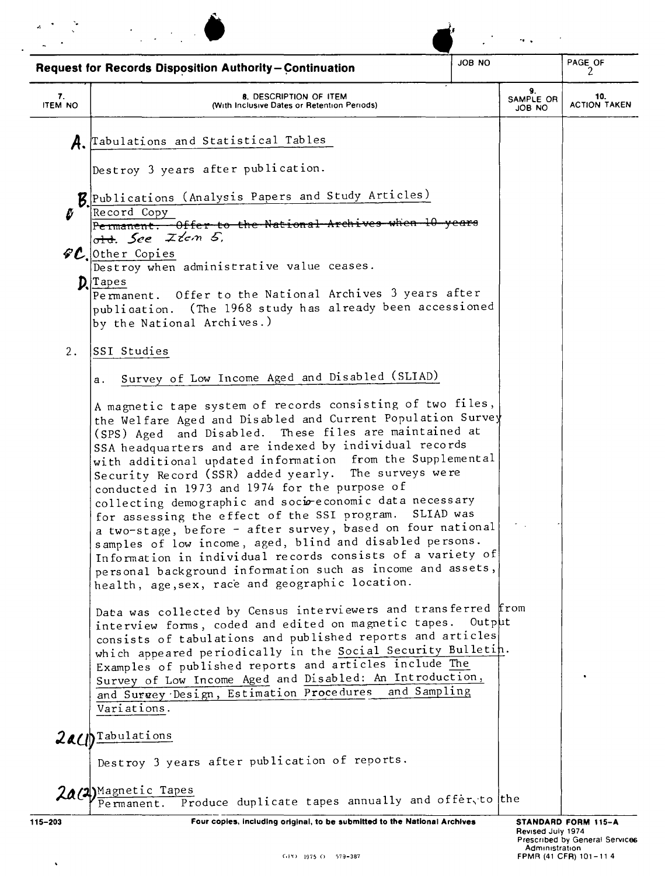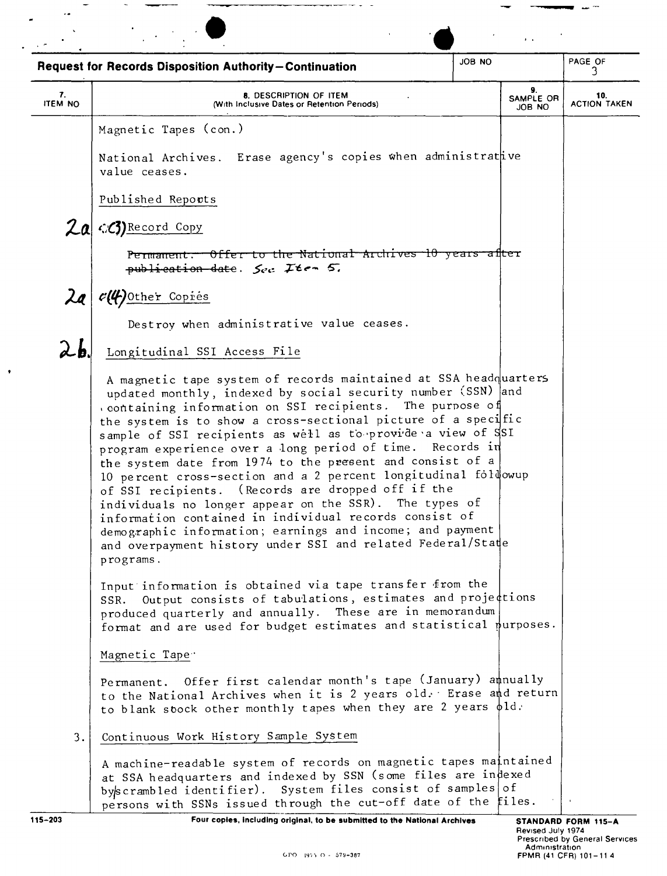| <b>Request for Records Disposition Authority-Continuation</b><br>3.<br>9.<br>7.<br>8. DESCRIPTION OF ITEM<br>10.<br>SAMPLE OR<br><b>ITEM NO</b><br>(With Inclusive Dates or Retention Periods)<br>JOB NO<br>Magnetic Tapes (con.)<br>National Archives. Erase agency's copies when administrative<br>value ceases.<br>Published Reports<br>2a<br>CO) Record Copy<br>Permanent. Offer to the National Archives 10 years after<br>publication date. $\zeta_{cc}$ <i>Item</i> 5,<br>$\lambda$ a<br>c(4)Other Copies<br>Destroy when administrative value ceases.<br>26<br>Longitudinal SSI Access File<br>A magnetic tape system of records maintained at SSA headquarters<br>updated monthly, indexed by social security number (SSN) and<br>containing information on SSI recipients. The purpose of<br>the system is to show a cross-sectional picture of a specific<br>sample of SSI recipients as well as to provide a view of SSI<br>program experience over a long period of time. Records in<br>the system date from 1974 to the present and consist of a<br>10 percent cross-section and a 2 percent longitudinal foldowup<br>of SSI recipients. (Records are dropped off if the<br>individuals no longer appear on the SSR). The types of<br>information contained in individual records consist of<br>demographic information; earnings and income; and payment<br>and overpayment history under SSI and related Federal/State<br>programs.<br>Input information is obtained via tape transfer from the<br>SSR. Output consists of tabulations, estimates and projections<br>produced quarterly and annually. These are in memorandum<br>format and are used for budget estimates and statistical nurposes.<br>Magnetic Tape .<br>Permanent. Offer first calendar month's tape (January) annually<br>to the National Archives when it is 2 years old. Erase and return<br>to blank sbock other monthly tapes when they are 2 years $\phi$ ld.<br>Continuous Work History Sample System<br>3.<br>A machine-readable system of records on magnetic tapes maintained<br>at SSA headquarters and indexed by SSN (some files are indexed<br>byscrambled identifier). System files consist of samples of |                                                                 |        | $\mathbf{a}=\mathbf{a}$ . |                     |
|------------------------------------------------------------------------------------------------------------------------------------------------------------------------------------------------------------------------------------------------------------------------------------------------------------------------------------------------------------------------------------------------------------------------------------------------------------------------------------------------------------------------------------------------------------------------------------------------------------------------------------------------------------------------------------------------------------------------------------------------------------------------------------------------------------------------------------------------------------------------------------------------------------------------------------------------------------------------------------------------------------------------------------------------------------------------------------------------------------------------------------------------------------------------------------------------------------------------------------------------------------------------------------------------------------------------------------------------------------------------------------------------------------------------------------------------------------------------------------------------------------------------------------------------------------------------------------------------------------------------------------------------------------------------------------------------------------------------------------------------------------------------------------------------------------------------------------------------------------------------------------------------------------------------------------------------------------------------------------------------------------------------------------------------------------------------------------------------------------------------------------------------------------------------------------------------------------|-----------------------------------------------------------------|--------|---------------------------|---------------------|
|                                                                                                                                                                                                                                                                                                                                                                                                                                                                                                                                                                                                                                                                                                                                                                                                                                                                                                                                                                                                                                                                                                                                                                                                                                                                                                                                                                                                                                                                                                                                                                                                                                                                                                                                                                                                                                                                                                                                                                                                                                                                                                                                                                                                            |                                                                 | JOB NO |                           | PAGE OF             |
|                                                                                                                                                                                                                                                                                                                                                                                                                                                                                                                                                                                                                                                                                                                                                                                                                                                                                                                                                                                                                                                                                                                                                                                                                                                                                                                                                                                                                                                                                                                                                                                                                                                                                                                                                                                                                                                                                                                                                                                                                                                                                                                                                                                                            |                                                                 |        |                           | <b>ACTION TAKEN</b> |
|                                                                                                                                                                                                                                                                                                                                                                                                                                                                                                                                                                                                                                                                                                                                                                                                                                                                                                                                                                                                                                                                                                                                                                                                                                                                                                                                                                                                                                                                                                                                                                                                                                                                                                                                                                                                                                                                                                                                                                                                                                                                                                                                                                                                            |                                                                 |        |                           |                     |
|                                                                                                                                                                                                                                                                                                                                                                                                                                                                                                                                                                                                                                                                                                                                                                                                                                                                                                                                                                                                                                                                                                                                                                                                                                                                                                                                                                                                                                                                                                                                                                                                                                                                                                                                                                                                                                                                                                                                                                                                                                                                                                                                                                                                            |                                                                 |        |                           |                     |
|                                                                                                                                                                                                                                                                                                                                                                                                                                                                                                                                                                                                                                                                                                                                                                                                                                                                                                                                                                                                                                                                                                                                                                                                                                                                                                                                                                                                                                                                                                                                                                                                                                                                                                                                                                                                                                                                                                                                                                                                                                                                                                                                                                                                            |                                                                 |        |                           |                     |
|                                                                                                                                                                                                                                                                                                                                                                                                                                                                                                                                                                                                                                                                                                                                                                                                                                                                                                                                                                                                                                                                                                                                                                                                                                                                                                                                                                                                                                                                                                                                                                                                                                                                                                                                                                                                                                                                                                                                                                                                                                                                                                                                                                                                            |                                                                 |        |                           |                     |
|                                                                                                                                                                                                                                                                                                                                                                                                                                                                                                                                                                                                                                                                                                                                                                                                                                                                                                                                                                                                                                                                                                                                                                                                                                                                                                                                                                                                                                                                                                                                                                                                                                                                                                                                                                                                                                                                                                                                                                                                                                                                                                                                                                                                            |                                                                 |        |                           |                     |
|                                                                                                                                                                                                                                                                                                                                                                                                                                                                                                                                                                                                                                                                                                                                                                                                                                                                                                                                                                                                                                                                                                                                                                                                                                                                                                                                                                                                                                                                                                                                                                                                                                                                                                                                                                                                                                                                                                                                                                                                                                                                                                                                                                                                            |                                                                 |        |                           |                     |
|                                                                                                                                                                                                                                                                                                                                                                                                                                                                                                                                                                                                                                                                                                                                                                                                                                                                                                                                                                                                                                                                                                                                                                                                                                                                                                                                                                                                                                                                                                                                                                                                                                                                                                                                                                                                                                                                                                                                                                                                                                                                                                                                                                                                            |                                                                 |        |                           |                     |
|                                                                                                                                                                                                                                                                                                                                                                                                                                                                                                                                                                                                                                                                                                                                                                                                                                                                                                                                                                                                                                                                                                                                                                                                                                                                                                                                                                                                                                                                                                                                                                                                                                                                                                                                                                                                                                                                                                                                                                                                                                                                                                                                                                                                            |                                                                 |        |                           |                     |
|                                                                                                                                                                                                                                                                                                                                                                                                                                                                                                                                                                                                                                                                                                                                                                                                                                                                                                                                                                                                                                                                                                                                                                                                                                                                                                                                                                                                                                                                                                                                                                                                                                                                                                                                                                                                                                                                                                                                                                                                                                                                                                                                                                                                            |                                                                 |        |                           |                     |
|                                                                                                                                                                                                                                                                                                                                                                                                                                                                                                                                                                                                                                                                                                                                                                                                                                                                                                                                                                                                                                                                                                                                                                                                                                                                                                                                                                                                                                                                                                                                                                                                                                                                                                                                                                                                                                                                                                                                                                                                                                                                                                                                                                                                            |                                                                 |        |                           |                     |
|                                                                                                                                                                                                                                                                                                                                                                                                                                                                                                                                                                                                                                                                                                                                                                                                                                                                                                                                                                                                                                                                                                                                                                                                                                                                                                                                                                                                                                                                                                                                                                                                                                                                                                                                                                                                                                                                                                                                                                                                                                                                                                                                                                                                            |                                                                 |        |                           |                     |
|                                                                                                                                                                                                                                                                                                                                                                                                                                                                                                                                                                                                                                                                                                                                                                                                                                                                                                                                                                                                                                                                                                                                                                                                                                                                                                                                                                                                                                                                                                                                                                                                                                                                                                                                                                                                                                                                                                                                                                                                                                                                                                                                                                                                            |                                                                 |        |                           |                     |
|                                                                                                                                                                                                                                                                                                                                                                                                                                                                                                                                                                                                                                                                                                                                                                                                                                                                                                                                                                                                                                                                                                                                                                                                                                                                                                                                                                                                                                                                                                                                                                                                                                                                                                                                                                                                                                                                                                                                                                                                                                                                                                                                                                                                            |                                                                 |        |                           |                     |
|                                                                                                                                                                                                                                                                                                                                                                                                                                                                                                                                                                                                                                                                                                                                                                                                                                                                                                                                                                                                                                                                                                                                                                                                                                                                                                                                                                                                                                                                                                                                                                                                                                                                                                                                                                                                                                                                                                                                                                                                                                                                                                                                                                                                            | persons with SSNs issued through the cut-off date of the files. |        |                           |                     |

--- - -

 $\overline{\phantom{a}}$ 

 $\ddot{\phantom{0}}$ 

 $\ddot{\phantom{a}}$ 

 $\bullet$ 

 $\blacksquare$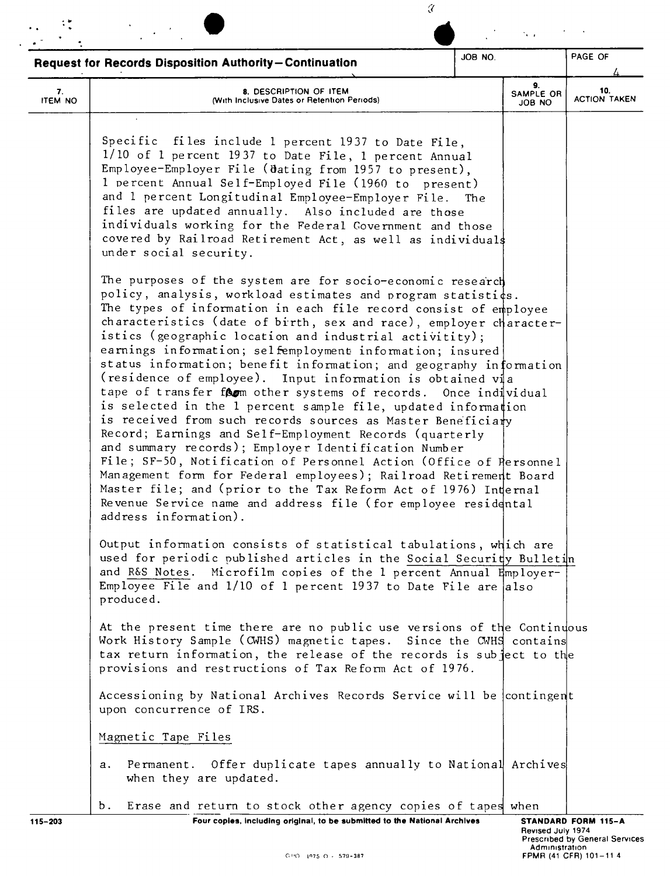|                      | <b>Request for Records Disposition Authority-Continuation</b>                                                                                                                                                                                                                                                                                                                                                                                                                                                                                                                                                                                                                                                                                                                                                                                                                                                                                                                                                                                                                                                                                                   | JOB NO. |                           | PAGE OF                    |
|----------------------|-----------------------------------------------------------------------------------------------------------------------------------------------------------------------------------------------------------------------------------------------------------------------------------------------------------------------------------------------------------------------------------------------------------------------------------------------------------------------------------------------------------------------------------------------------------------------------------------------------------------------------------------------------------------------------------------------------------------------------------------------------------------------------------------------------------------------------------------------------------------------------------------------------------------------------------------------------------------------------------------------------------------------------------------------------------------------------------------------------------------------------------------------------------------|---------|---------------------------|----------------------------|
| 7.<br><b>ITEM NO</b> | 8. DESCRIPTION OF ITEM<br>(With Inclusive Dates or Retention Periods)                                                                                                                                                                                                                                                                                                                                                                                                                                                                                                                                                                                                                                                                                                                                                                                                                                                                                                                                                                                                                                                                                           |         | 9.<br>SAMPLE OR<br>ON 8OL | 10.<br><b>ACTION TAKEN</b> |
|                      | Specific files include 1 percent 1937 to Date File,<br>1/10 of 1 percent 1937 to Date File, 1 percent Annual<br>Employee-Employer File (dating from 1957 to present),<br>1 percent Annual Self-Employed File (1960 to present)<br>and 1 percent Longitudinal Employee-Employer File. The<br>files are updated annually. Also included are those<br>individuals working for the Federal Government and those<br>covered by Railroad Retirement Act, as well as individuals<br>under social security.                                                                                                                                                                                                                                                                                                                                                                                                                                                                                                                                                                                                                                                             |         |                           |                            |
|                      | The purposes of the system are for socio-economic research<br>policy, analysis, workload estimates and program statisti¢s.<br>The types of information in each file record consist of employee<br>characteristics (date of birth, sex and race), employer character-<br>istics (geographic location and industrial activitity);<br>earnings information; selfemployment information; insured<br>status information; benefit information; and geography information<br>(residence of employee). Input information is obtained via<br>tape of transfer form other systems of records. Once individual<br>is selected in the 1 percent sample file, updated information<br>is received from such records sources as Master Beneficiary<br>Record; Earnings and Self-Employment Records (quarterly<br>and summary records); Employer Identification Number<br>File; SF-50, Notification of Personnel Action (Office of Personnel<br>Management form for Federal employees); Railroad Retirement Board<br>Master file; and (prior to the Tax Reform Act of 1976) Internal<br>Revenue Service name and address file (for employee residental<br>address information). |         |                           |                            |
|                      | Output information consists of statistical tabulations, which are<br>used for periodic published articles in the Social Security Bulletin<br>and R&S Notes. Microfilm copies of the 1 percent Annual Employer-<br>Employee File and $1/10$ of 1 percent 1937 to Date File are also<br>produced.                                                                                                                                                                                                                                                                                                                                                                                                                                                                                                                                                                                                                                                                                                                                                                                                                                                                 |         |                           |                            |
|                      | At the present time there are no public use versions of the Continuous<br>Work History Sample (CWHS) magnetic tapes. Since the CWHS contains<br>tax return information, the release of the records is subject to the<br>provisions and restructions of Tax Reform Act of 1976.                                                                                                                                                                                                                                                                                                                                                                                                                                                                                                                                                                                                                                                                                                                                                                                                                                                                                  |         |                           |                            |
|                      | Accessioning by National Archives Records Service will be contingent<br>upon concurrence of IRS.                                                                                                                                                                                                                                                                                                                                                                                                                                                                                                                                                                                                                                                                                                                                                                                                                                                                                                                                                                                                                                                                |         |                           |                            |
|                      | Magnetic Tape Files                                                                                                                                                                                                                                                                                                                                                                                                                                                                                                                                                                                                                                                                                                                                                                                                                                                                                                                                                                                                                                                                                                                                             |         |                           |                            |
|                      | Permanent. Offer duplicate tapes annually to National Archives<br>a.<br>when they are updated.                                                                                                                                                                                                                                                                                                                                                                                                                                                                                                                                                                                                                                                                                                                                                                                                                                                                                                                                                                                                                                                                  |         |                           |                            |
|                      | Erase and return to stock other agency copies of tapes when<br>b.                                                                                                                                                                                                                                                                                                                                                                                                                                                                                                                                                                                                                                                                                                                                                                                                                                                                                                                                                                                                                                                                                               |         |                           |                            |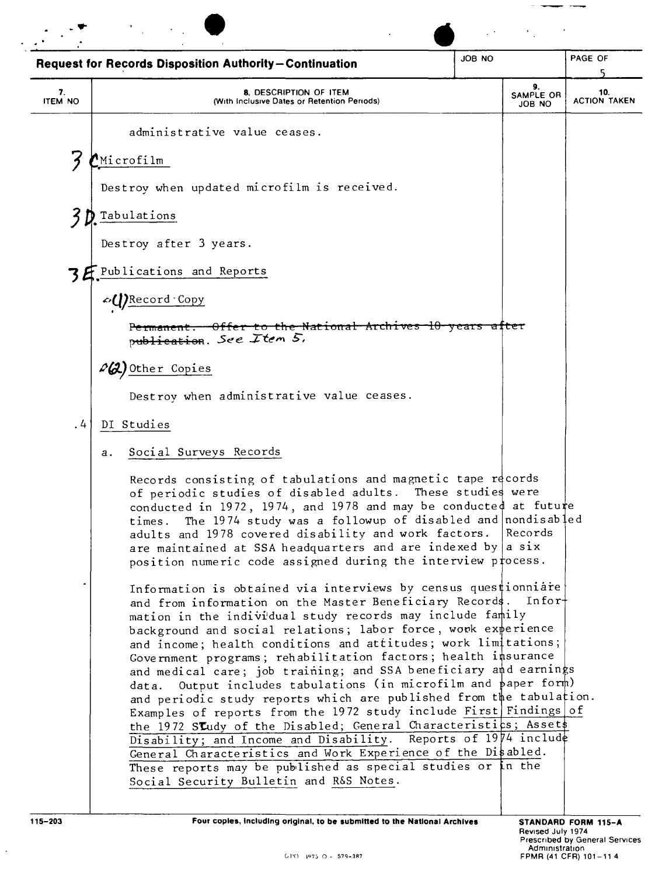|                      | <b>Request for Records Disposition Authority-Continuation</b>                                                                                                                                                                                                                                                                                                                                                                                                                                                                                                                                                                                                                                                                                                                                                                                                                                                                                               | JOB NO |                           | PAGE OF                    |
|----------------------|-------------------------------------------------------------------------------------------------------------------------------------------------------------------------------------------------------------------------------------------------------------------------------------------------------------------------------------------------------------------------------------------------------------------------------------------------------------------------------------------------------------------------------------------------------------------------------------------------------------------------------------------------------------------------------------------------------------------------------------------------------------------------------------------------------------------------------------------------------------------------------------------------------------------------------------------------------------|--------|---------------------------|----------------------------|
| 7.<br><b>ITEM NO</b> | 8. DESCRIPTION OF ITEM<br>(With Inclusive Dates or Retention Periods)                                                                                                                                                                                                                                                                                                                                                                                                                                                                                                                                                                                                                                                                                                                                                                                                                                                                                       |        | 9.<br>SAMPLE OR<br>JOB NO | 10.<br><b>ACTION TAKEN</b> |
|                      | administrative value ceases.                                                                                                                                                                                                                                                                                                                                                                                                                                                                                                                                                                                                                                                                                                                                                                                                                                                                                                                                |        |                           |                            |
| ΄}                   | $^{\prime}$ Microfilm                                                                                                                                                                                                                                                                                                                                                                                                                                                                                                                                                                                                                                                                                                                                                                                                                                                                                                                                       |        |                           |                            |
|                      | Destroy when updated microfilm is received.                                                                                                                                                                                                                                                                                                                                                                                                                                                                                                                                                                                                                                                                                                                                                                                                                                                                                                                 |        |                           |                            |
|                      | Tabulations                                                                                                                                                                                                                                                                                                                                                                                                                                                                                                                                                                                                                                                                                                                                                                                                                                                                                                                                                 |        |                           |                            |
|                      | Destroy after 3 years.                                                                                                                                                                                                                                                                                                                                                                                                                                                                                                                                                                                                                                                                                                                                                                                                                                                                                                                                      |        |                           |                            |
|                      | 3 E. Publications and Reports                                                                                                                                                                                                                                                                                                                                                                                                                                                                                                                                                                                                                                                                                                                                                                                                                                                                                                                               |        |                           |                            |
|                      | <b>△(I)</b> Record Copy                                                                                                                                                                                                                                                                                                                                                                                                                                                                                                                                                                                                                                                                                                                                                                                                                                                                                                                                     |        |                           |                            |
|                      | <del>-Offer-to-the-National-Archives-10-years</del><br><del>Permanent.</del><br>publication. See Item $5$ ,                                                                                                                                                                                                                                                                                                                                                                                                                                                                                                                                                                                                                                                                                                                                                                                                                                                 |        | <del>atter</del>          |                            |
|                      | Da) Other Copies                                                                                                                                                                                                                                                                                                                                                                                                                                                                                                                                                                                                                                                                                                                                                                                                                                                                                                                                            |        |                           |                            |
|                      | Destroy when administrative value ceases.                                                                                                                                                                                                                                                                                                                                                                                                                                                                                                                                                                                                                                                                                                                                                                                                                                                                                                                   |        |                           |                            |
| $\cdot$              | DI Studies                                                                                                                                                                                                                                                                                                                                                                                                                                                                                                                                                                                                                                                                                                                                                                                                                                                                                                                                                  |        |                           |                            |
|                      | Social Surveys Records<br>а.                                                                                                                                                                                                                                                                                                                                                                                                                                                                                                                                                                                                                                                                                                                                                                                                                                                                                                                                |        |                           |                            |
|                      | Records consisting of tabulations and magnetic tape records<br>of periodic studies of disabled adults. These studies were<br>conducted in 1972, 1974, and 1978 and may be conducte¢ at futute<br>The 1974 study was a followup of disabled and nondisabled<br>times.<br>adults and 1978 covered disability and work factors.<br>are maintained at SSA headquarters and are indexed by a six<br>position numeric code assigned during the interview process.                                                                                                                                                                                                                                                                                                                                                                                                                                                                                                 |        | Records                   |                            |
|                      | Information is obtained via interviews by census questionniare<br>and from information on the Master Beneficiary Records. Infor-<br>mation in the individual study records may include family<br>background and social relations; labor force, work experience<br>and income; health conditions and attitudes; work limitations;<br>Government programs; rehabilitation factors; health insurance<br>and medical care; job training; and SSA beneficiary and earnings<br>Output includes tabulations (in microfilm and paper form)<br>data.<br>and periodic study reports which are published from the tabulation.<br>Examples of reports from the 1972 study include First Findings of<br>the 1972 Sludy of the Disabled; General Characteristics; Assets<br>Disability; and Income and Disability. Reports of 1974 include<br>General Characteristics and Work Experience of the Disabled.<br>These reports may be published as special studies or in the |        |                           |                            |

 $\ddot{\phantom{0}}$ 

STANDARD FORM 115-A<br>
Revised July 1974<br>
Prescribed by General Services<br>
Administration<br>
FPMR (41 CFR) 101-11 4

 $\sim$  -compared with  $\sim$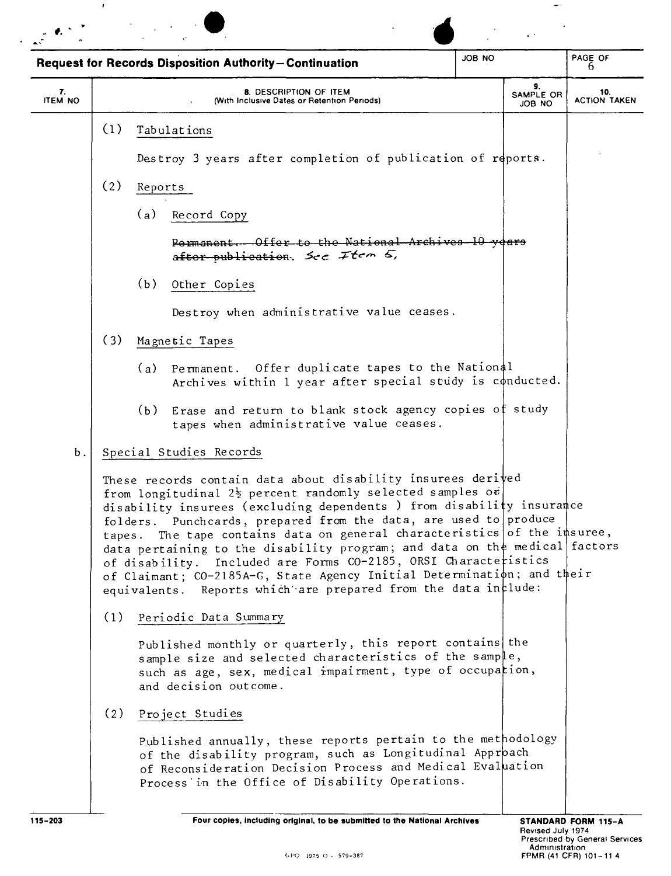|                      |     | <b>Request for Records Disposition Authority-Continuation</b>                                                                                                                                                                                                                                                                                                                                                                                                                                                                                                                                                                                   | JOB NO |                                     | PAGE OF<br>h                                            |
|----------------------|-----|-------------------------------------------------------------------------------------------------------------------------------------------------------------------------------------------------------------------------------------------------------------------------------------------------------------------------------------------------------------------------------------------------------------------------------------------------------------------------------------------------------------------------------------------------------------------------------------------------------------------------------------------------|--------|-------------------------------------|---------------------------------------------------------|
| 7.<br><b>ITEM NO</b> |     | 8. DESCRIPTION OF ITEM<br>(With Inclusive Dates or Retention Periods)                                                                                                                                                                                                                                                                                                                                                                                                                                                                                                                                                                           |        | 9.<br>SAMPLE OR<br>JOB NO           | 10.<br><b>ACTION TAKEN</b>                              |
|                      | (1) | Tabulations                                                                                                                                                                                                                                                                                                                                                                                                                                                                                                                                                                                                                                     |        |                                     |                                                         |
|                      |     | Destroy 3 years after completion of publication of reports.                                                                                                                                                                                                                                                                                                                                                                                                                                                                                                                                                                                     |        |                                     |                                                         |
|                      | (2) | Reports                                                                                                                                                                                                                                                                                                                                                                                                                                                                                                                                                                                                                                         |        |                                     |                                                         |
|                      |     | (a)<br>Record Copy                                                                                                                                                                                                                                                                                                                                                                                                                                                                                                                                                                                                                              |        |                                     |                                                         |
|                      |     | Permanent. Offer to the National Archives 10 years<br>after publication. See Item 5,                                                                                                                                                                                                                                                                                                                                                                                                                                                                                                                                                            |        |                                     |                                                         |
|                      |     | (b)<br>Other Copies                                                                                                                                                                                                                                                                                                                                                                                                                                                                                                                                                                                                                             |        |                                     |                                                         |
|                      |     | Destroy when administrative value ceases.                                                                                                                                                                                                                                                                                                                                                                                                                                                                                                                                                                                                       |        |                                     |                                                         |
|                      | (3) | Magnetic Tapes                                                                                                                                                                                                                                                                                                                                                                                                                                                                                                                                                                                                                                  |        |                                     |                                                         |
|                      |     | Permanent. Offer duplicate tapes to the National<br>(a)<br>Archives within 1 year after special study is conducted.                                                                                                                                                                                                                                                                                                                                                                                                                                                                                                                             |        |                                     |                                                         |
|                      |     | Erase and return to blank stock agency copies of study<br>(b)<br>tapes when administrative value ceases.                                                                                                                                                                                                                                                                                                                                                                                                                                                                                                                                        |        |                                     |                                                         |
| Ъ.                   |     | Special Studies Records                                                                                                                                                                                                                                                                                                                                                                                                                                                                                                                                                                                                                         |        |                                     |                                                         |
|                      |     | These records contain data about disability insurees derived<br>from longitudinal 22 percent randomly selected samples ov<br>disability insurees (excluding dependents ) from disability insurance<br>folders. Punchcards, prepared from the data, are used to produce<br>tapes. The tape contains data on general characteristics of the insuree,<br>data pertaining to the disability program; and data on the medical factors<br>of disability. Included are Forms CO-2185, ORSI Characteristics<br>of Claimant; CO-2185A-G, State Agency Initial Determination; and their<br>equivalents. Reports which are prepared from the data include: |        |                                     |                                                         |
|                      | (1) | Periodic Data Summary                                                                                                                                                                                                                                                                                                                                                                                                                                                                                                                                                                                                                           |        |                                     |                                                         |
|                      |     | Published monthly or quarterly, this report contains the<br>sample size and selected characteristics of the sample,<br>such as age, sex, medical impairment, type of occupation,<br>and decision outcome.                                                                                                                                                                                                                                                                                                                                                                                                                                       |        |                                     |                                                         |
|                      | (2) | Project Studies                                                                                                                                                                                                                                                                                                                                                                                                                                                                                                                                                                                                                                 |        |                                     |                                                         |
|                      |     | Published annually, these reports pertain to the methodology<br>of the disability program, such as Longitudinal Approach<br>of Reconsideration Decision Process and Medical Evaluation<br>Process in the Office of Disability Operations.                                                                                                                                                                                                                                                                                                                                                                                                       |        |                                     |                                                         |
| $115 - 203$          |     | Four copies, including original, to be submitted to the National Archives                                                                                                                                                                                                                                                                                                                                                                                                                                                                                                                                                                       |        |                                     | STANDARD FORM 115-A                                     |
|                      |     | GPO 1975 O - 579-387                                                                                                                                                                                                                                                                                                                                                                                                                                                                                                                                                                                                                            |        | Revised July 1974<br>Administration | Prescribed by General Services<br>FPMR (41 CFR) 101-114 |